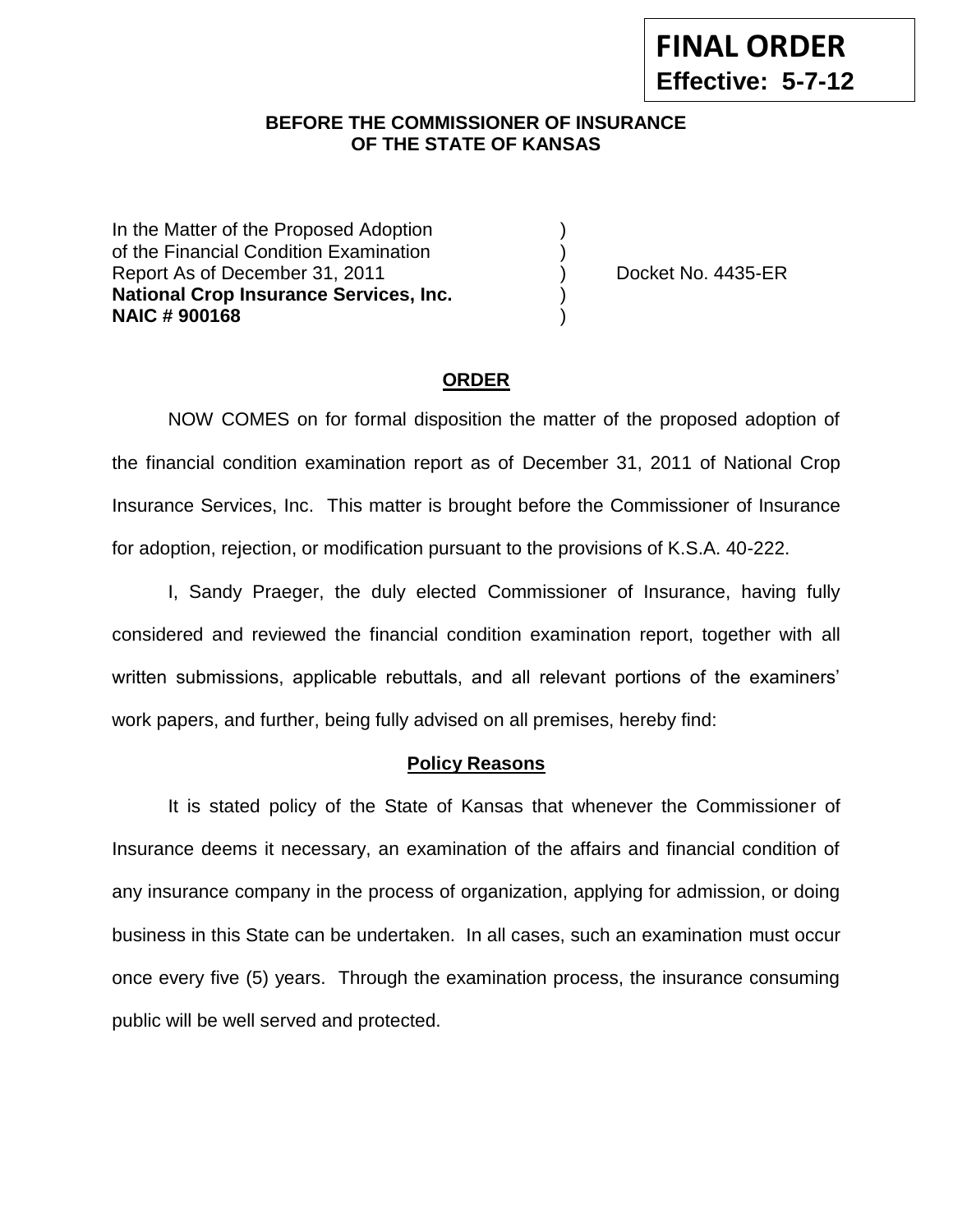# **BEFORE THE COMMISSIONER OF INSURANCE --12OF THE STATE OF KANSAS**

In the Matter of the Proposed Adoption of the Financial Condition Examination ) Report As of December 31, 2011 (and Separation Cooket No. 4435-ER **National Crop Insurance Services, Inc.** ) **NAIC # 900168** )

### **ORDER**

NOW COMES on for formal disposition the matter of the proposed adoption of the financial condition examination report as of December 31, 2011 of National Crop Insurance Services, Inc. This matter is brought before the Commissioner of Insurance for adoption, rejection, or modification pursuant to the provisions of K.S.A. 40-222.

I, Sandy Praeger, the duly elected Commissioner of Insurance, having fully considered and reviewed the financial condition examination report, together with all written submissions, applicable rebuttals, and all relevant portions of the examiners' work papers, and further, being fully advised on all premises, hereby find:

### **Policy Reasons**

It is stated policy of the State of Kansas that whenever the Commissioner of Insurance deems it necessary, an examination of the affairs and financial condition of any insurance company in the process of organization, applying for admission, or doing business in this State can be undertaken. In all cases, such an examination must occur once every five (5) years. Through the examination process, the insurance consuming public will be well served and protected.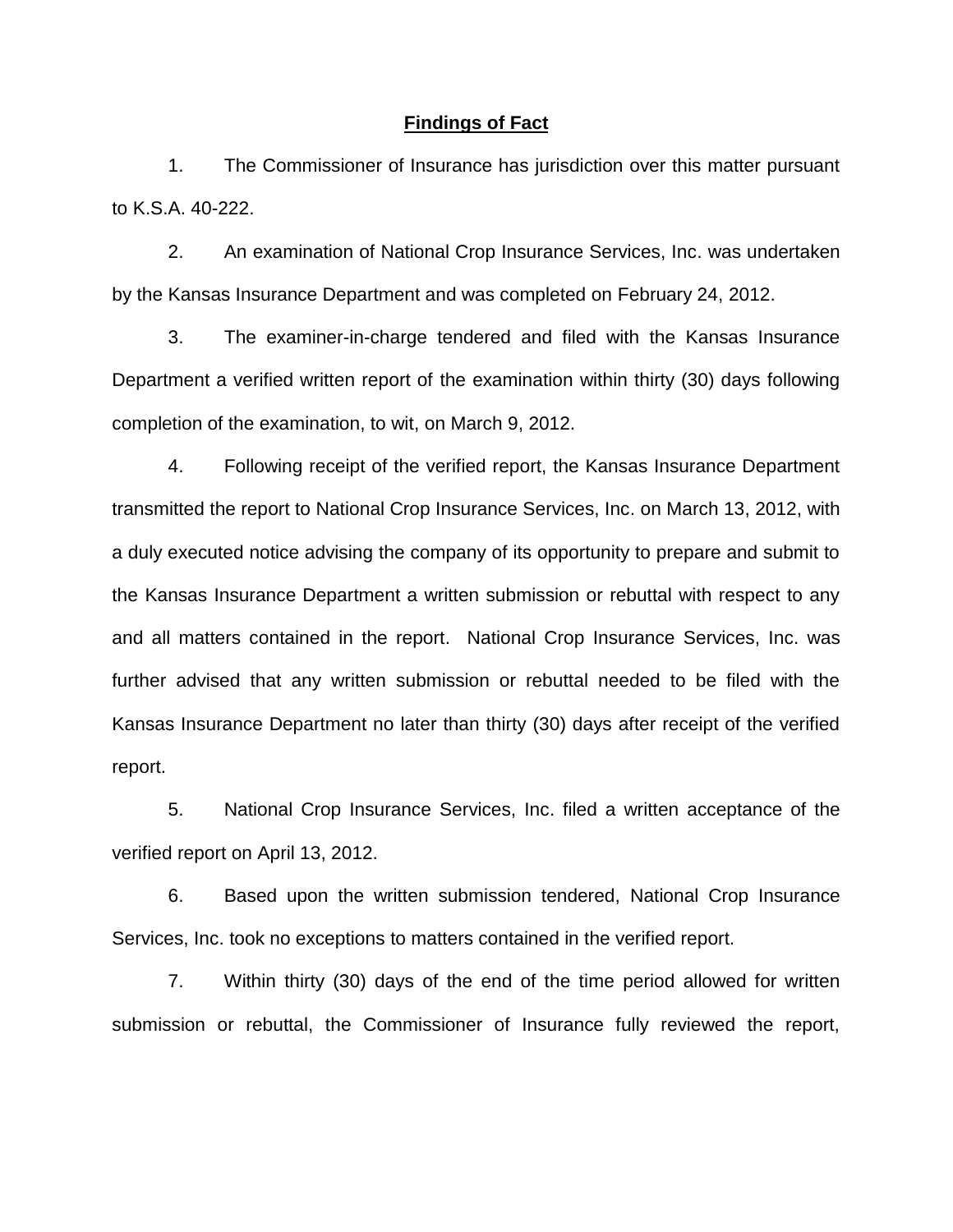### **Findings of Fact**

1. The Commissioner of Insurance has jurisdiction over this matter pursuant to K.S.A. 40-222.

2. An examination of National Crop Insurance Services, Inc. was undertaken by the Kansas Insurance Department and was completed on February 24, 2012.

3. The examiner-in-charge tendered and filed with the Kansas Insurance Department a verified written report of the examination within thirty (30) days following completion of the examination, to wit, on March 9, 2012.

4. Following receipt of the verified report, the Kansas Insurance Department transmitted the report to National Crop Insurance Services, Inc. on March 13, 2012, with a duly executed notice advising the company of its opportunity to prepare and submit to the Kansas Insurance Department a written submission or rebuttal with respect to any and all matters contained in the report. National Crop Insurance Services, Inc. was further advised that any written submission or rebuttal needed to be filed with the Kansas Insurance Department no later than thirty (30) days after receipt of the verified report.

5. National Crop Insurance Services, Inc. filed a written acceptance of the verified report on April 13, 2012.

6. Based upon the written submission tendered, National Crop Insurance Services, Inc. took no exceptions to matters contained in the verified report.

7. Within thirty (30) days of the end of the time period allowed for written submission or rebuttal, the Commissioner of Insurance fully reviewed the report,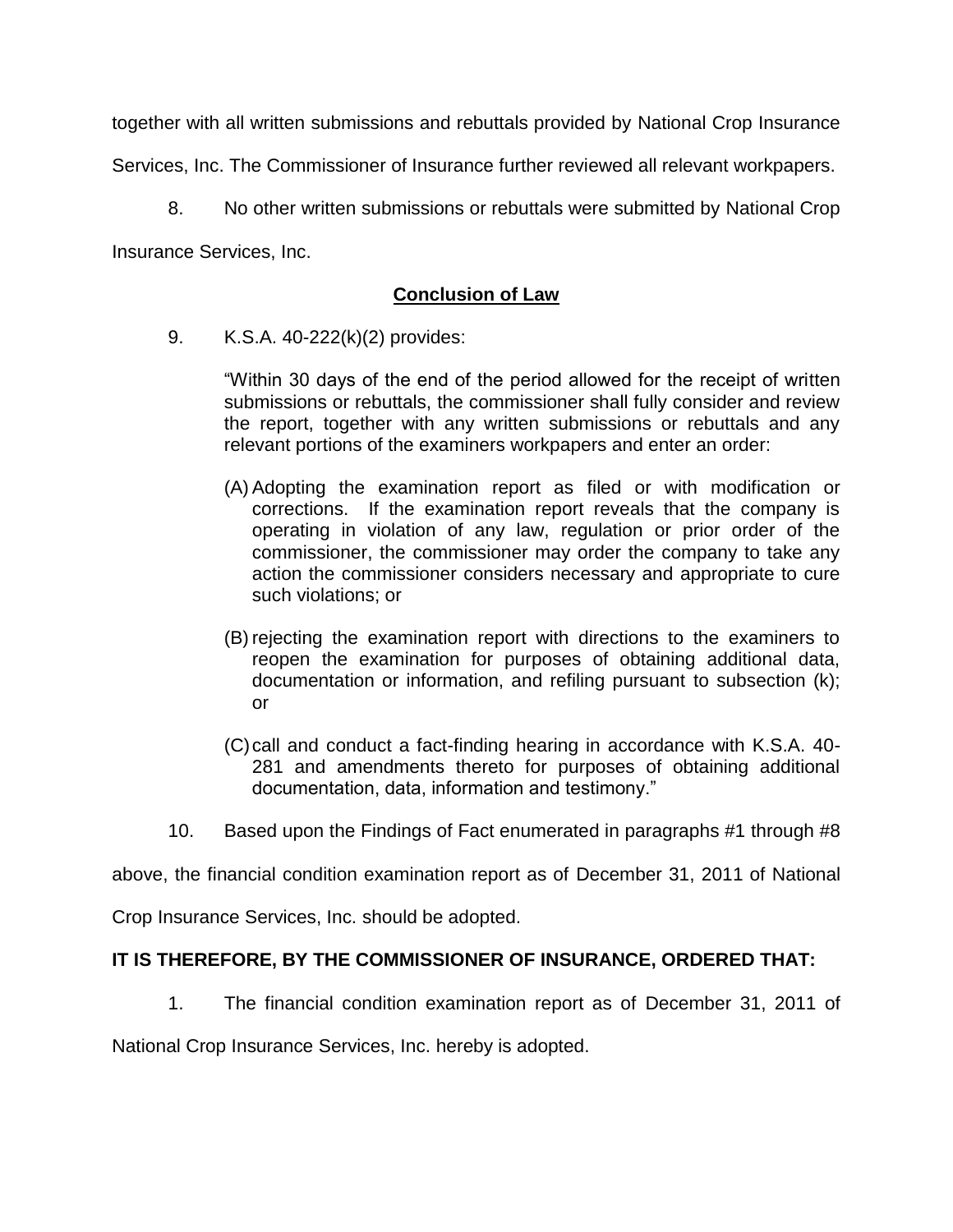together with all written submissions and rebuttals provided by National Crop Insurance

Services, Inc. The Commissioner of Insurance further reviewed all relevant workpapers.

8. No other written submissions or rebuttals were submitted by National Crop

Insurance Services, Inc.

# **Conclusion of Law**

9. K.S.A. 40-222(k)(2) provides:

"Within 30 days of the end of the period allowed for the receipt of written submissions or rebuttals, the commissioner shall fully consider and review the report, together with any written submissions or rebuttals and any relevant portions of the examiners workpapers and enter an order:

- (A) Adopting the examination report as filed or with modification or corrections. If the examination report reveals that the company is operating in violation of any law, regulation or prior order of the commissioner, the commissioner may order the company to take any action the commissioner considers necessary and appropriate to cure such violations; or
- (B) rejecting the examination report with directions to the examiners to reopen the examination for purposes of obtaining additional data, documentation or information, and refiling pursuant to subsection (k); or
- (C)call and conduct a fact-finding hearing in accordance with K.S.A. 40- 281 and amendments thereto for purposes of obtaining additional documentation, data, information and testimony."
- 10. Based upon the Findings of Fact enumerated in paragraphs #1 through #8

above, the financial condition examination report as of December 31, 2011 of National

Crop Insurance Services, Inc. should be adopted.

# **IT IS THEREFORE, BY THE COMMISSIONER OF INSURANCE, ORDERED THAT:**

1. The financial condition examination report as of December 31, 2011 of

National Crop Insurance Services, Inc. hereby is adopted.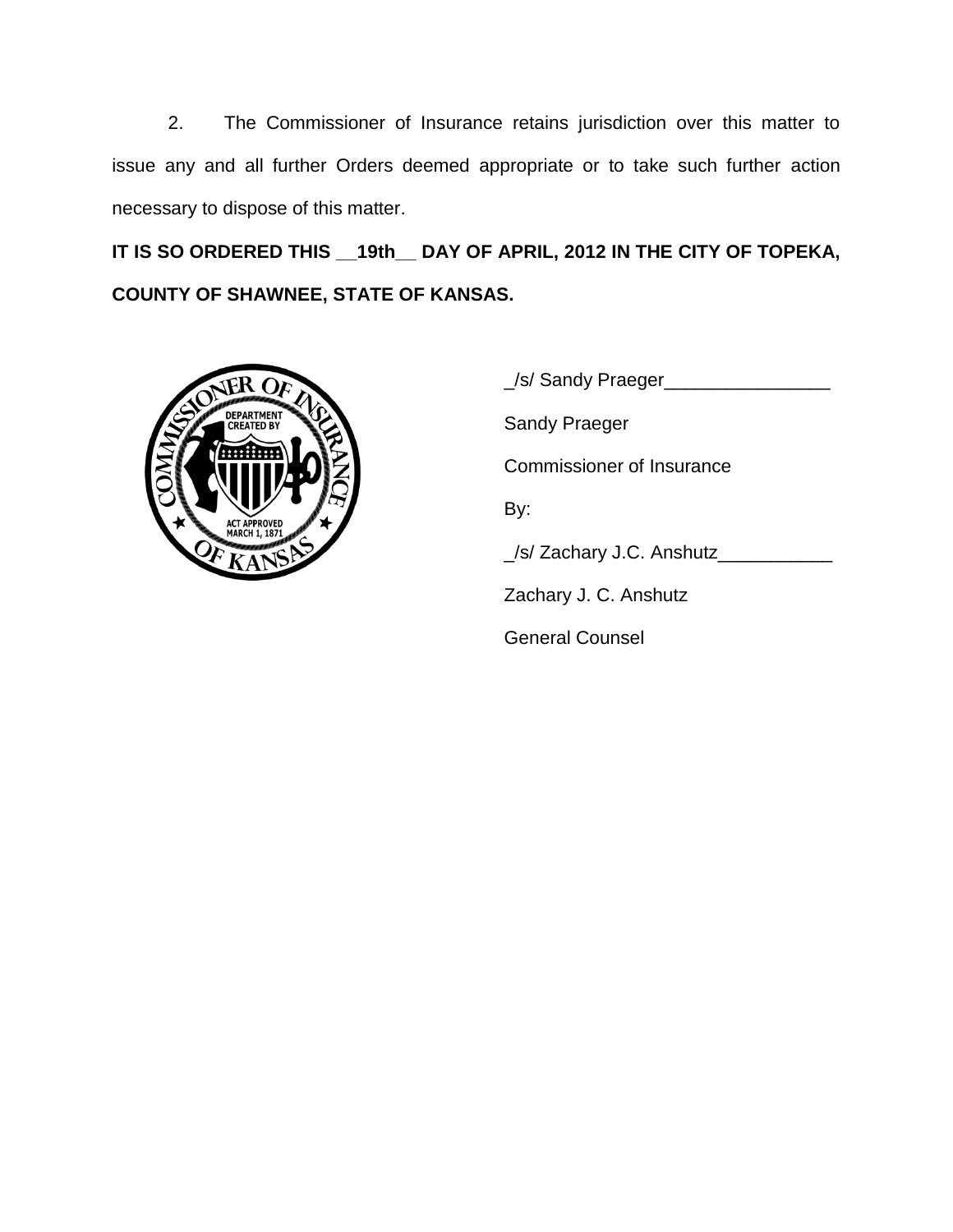2. The Commissioner of Insurance retains jurisdiction over this matter to issue any and all further Orders deemed appropriate or to take such further action necessary to dispose of this matter.

**IT IS SO ORDERED THIS \_\_19th\_\_ DAY OF APRIL, 2012 IN THE CITY OF TOPEKA, COUNTY OF SHAWNEE, STATE OF KANSAS.**



\_/s/ Sandy Praeger\_\_\_\_\_\_\_\_\_\_\_\_\_\_\_\_ Sandy Praeger Commissioner of Insurance By: \_/s/ Zachary J.C. Anshutz\_\_\_\_\_\_\_\_\_\_\_ Zachary J. C. Anshutz General Counsel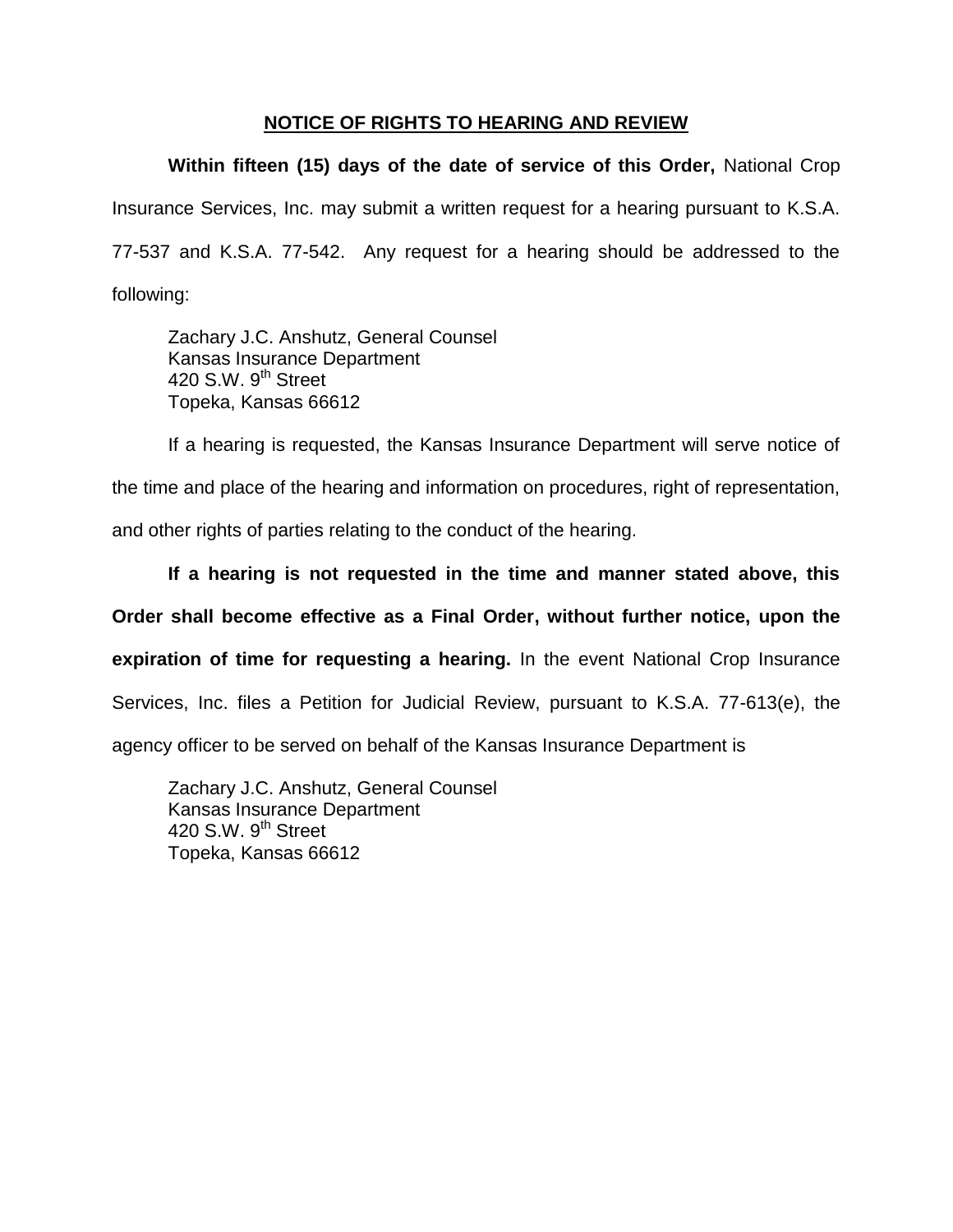# **NOTICE OF RIGHTS TO HEARING AND REVIEW**

**Within fifteen (15) days of the date of service of this Order,** National Crop Insurance Services, Inc. may submit a written request for a hearing pursuant to K.S.A. 77-537 and K.S.A. 77-542. Any request for a hearing should be addressed to the following:

Zachary J.C. Anshutz, General Counsel Kansas Insurance Department 420 S.W. 9<sup>th</sup> Street Topeka, Kansas 66612

If a hearing is requested, the Kansas Insurance Department will serve notice of the time and place of the hearing and information on procedures, right of representation, and other rights of parties relating to the conduct of the hearing.

**If a hearing is not requested in the time and manner stated above, this Order shall become effective as a Final Order, without further notice, upon the expiration of time for requesting a hearing.** In the event National Crop Insurance Services, Inc. files a Petition for Judicial Review, pursuant to K.S.A. 77-613(e), the agency officer to be served on behalf of the Kansas Insurance Department is

Zachary J.C. Anshutz, General Counsel Kansas Insurance Department 420 S.W.  $9<sup>th</sup>$  Street Topeka, Kansas 66612